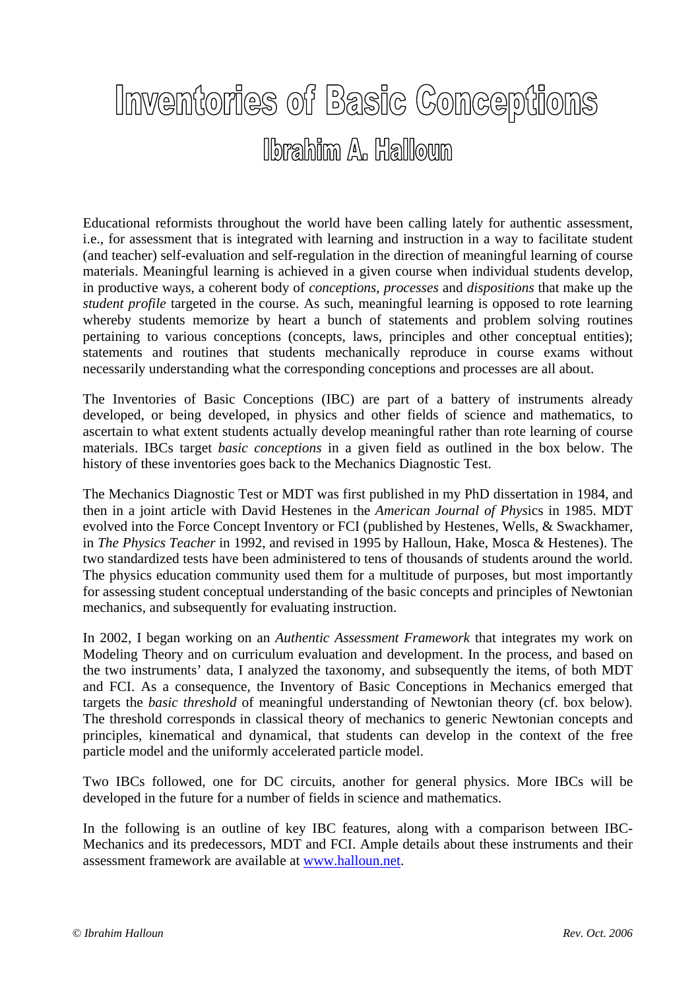## Inventories of Basic Conceptions lbrahim A. Halloun

Educational reformists throughout the world have been calling lately for authentic assessment, i.e., for assessment that is integrated with learning and instruction in a way to facilitate student (and teacher) self-evaluation and self-regulation in the direction of meaningful learning of course materials. Meaningful learning is achieved in a given course when individual students develop, in productive ways, a coherent body of *conceptions*, *processes* and *dispositions* that make up the *student profile* targeted in the course. As such, meaningful learning is opposed to rote learning whereby students memorize by heart a bunch of statements and problem solving routines pertaining to various conceptions (concepts, laws, principles and other conceptual entities); statements and routines that students mechanically reproduce in course exams without necessarily understanding what the corresponding conceptions and processes are all about.

The Inventories of Basic Conceptions (IBC) are part of a battery of instruments already developed, or being developed, in physics and other fields of science and mathematics, to ascertain to what extent students actually develop meaningful rather than rote learning of course materials. IBCs target *basic conceptions* in a given field as outlined in the box below. The history of these inventories goes back to the Mechanics Diagnostic Test.

The Mechanics Diagnostic Test or MDT was first published in my PhD dissertation in 1984, and then in a joint article with David Hestenes in the *American Journal of Phys*ics in 1985. MDT evolved into the Force Concept Inventory or FCI (published by Hestenes, Wells, & Swackhamer, in *The Physics Teacher* in 1992, and revised in 1995 by Halloun, Hake, Mosca & Hestenes). The two standardized tests have been administered to tens of thousands of students around the world. The physics education community used them for a multitude of purposes, but most importantly for assessing student conceptual understanding of the basic concepts and principles of Newtonian mechanics, and subsequently for evaluating instruction.

In 2002, I began working on an *Authentic Assessment Framework* that integrates my work on Modeling Theory and on curriculum evaluation and development. In the process, and based on the two instruments' data, I analyzed the taxonomy, and subsequently the items, of both MDT and FCI. As a consequence, the Inventory of Basic Conceptions in Mechanics emerged that targets the *basic threshold* of meaningful understanding of Newtonian theory (cf. box below)*.*  The threshold corresponds in classical theory of mechanics to generic Newtonian concepts and principles, kinematical and dynamical, that students can develop in the context of the free particle model and the uniformly accelerated particle model.

Two IBCs followed, one for DC circuits, another for general physics. More IBCs will be developed in the future for a number of fields in science and mathematics.

In the following is an outline of key IBC features, along with a comparison between IBC-Mechanics and its predecessors, MDT and FCI. Ample details about these instruments and their assessment framework are available at www.halloun.net.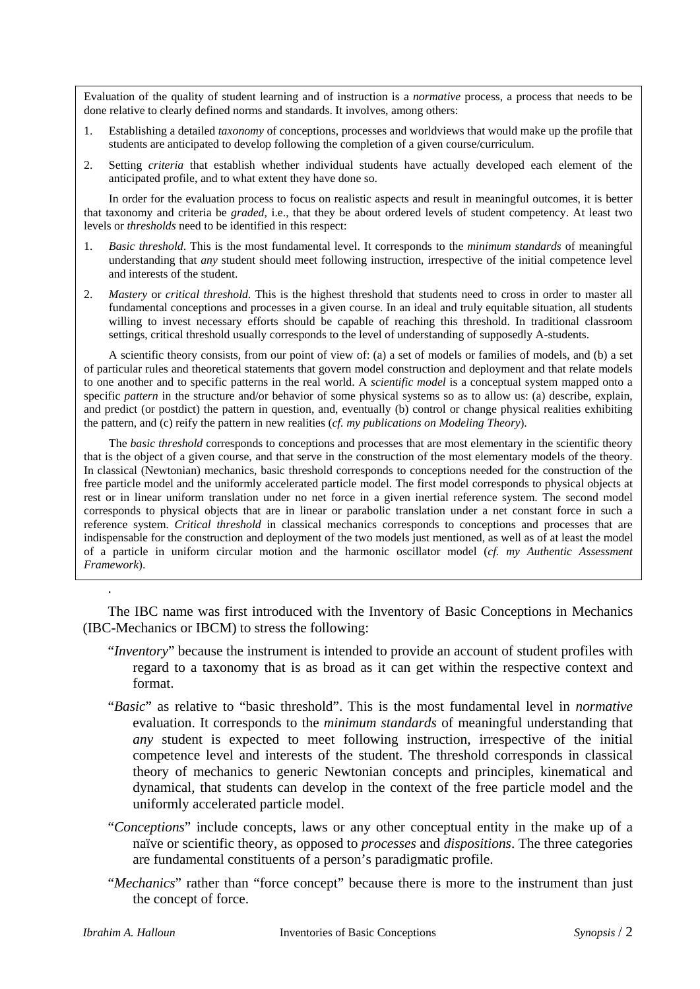Evaluation of the quality of student learning and of instruction is a *normative* process, a process that needs to be done relative to clearly defined norms and standards. It involves, among others:

- 1. Establishing a detailed *taxonomy* of conceptions, processes and worldviews that would make up the profile that students are anticipated to develop following the completion of a given course/curriculum.
- 2. Setting *criteria* that establish whether individual students have actually developed each element of the anticipated profile, and to what extent they have done so.

 In order for the evaluation process to focus on realistic aspects and result in meaningful outcomes, it is better that taxonomy and criteria be *graded*, i.e., that they be about ordered levels of student competency. At least two levels or *thresholds* need to be identified in this respect:

- 1. *Basic threshold*. This is the most fundamental level. It corresponds to the *minimum standards* of meaningful understanding that *any* student should meet following instruction, irrespective of the initial competence level and interests of the student.
- 2. *Mastery* or *critical threshold*. This is the highest threshold that students need to cross in order to master all fundamental conceptions and processes in a given course. In an ideal and truly equitable situation, all students willing to invest necessary efforts should be capable of reaching this threshold. In traditional classroom settings, critical threshold usually corresponds to the level of understanding of supposedly A-students.

 A scientific theory consists, from our point of view of: (a) a set of models or families of models, and (b) a set of particular rules and theoretical statements that govern model construction and deployment and that relate models to one another and to specific patterns in the real world. A *scientific model* is a conceptual system mapped onto a specific *pattern* in the structure and/or behavior of some physical systems so as to allow us: (a) describe, explain, and predict (or postdict) the pattern in question, and, eventually (b) control or change physical realities exhibiting the pattern, and (c) reify the pattern in new realities (*cf. my publications on Modeling Theory*).

 The *basic threshold* corresponds to conceptions and processes that are most elementary in the scientific theory that is the object of a given course, and that serve in the construction of the most elementary models of the theory. In classical (Newtonian) mechanics, basic threshold corresponds to conceptions needed for the construction of the free particle model and the uniformly accelerated particle model. The first model corresponds to physical objects at rest or in linear uniform translation under no net force in a given inertial reference system. The second model corresponds to physical objects that are in linear or parabolic translation under a net constant force in such a reference system. *Critical threshold* in classical mechanics corresponds to conceptions and processes that are indispensable for the construction and deployment of the two models just mentioned, as well as of at least the model of a particle in uniform circular motion and the harmonic oscillator model (*cf. my Authentic Assessment Framework*).

 The IBC name was first introduced with the Inventory of Basic Conceptions in Mechanics (IBC-Mechanics or IBCM) to stress the following:

- "*Inventory*" because the instrument is intended to provide an account of student profiles with regard to a taxonomy that is as broad as it can get within the respective context and format.
- "*Basic*" as relative to "basic threshold". This is the most fundamental level in *normative* evaluation. It corresponds to the *minimum standards* of meaningful understanding that *any* student is expected to meet following instruction, irrespective of the initial competence level and interests of the student. The threshold corresponds in classical theory of mechanics to generic Newtonian concepts and principles, kinematical and dynamical, that students can develop in the context of the free particle model and the uniformly accelerated particle model.
- "*Conceptions*" include concepts, laws or any other conceptual entity in the make up of a naïve or scientific theory, as opposed to *processes* and *dispositions*. The three categories are fundamental constituents of a person's paradigmatic profile.
- "*Mechanics*" rather than "force concept" because there is more to the instrument than just the concept of force.

.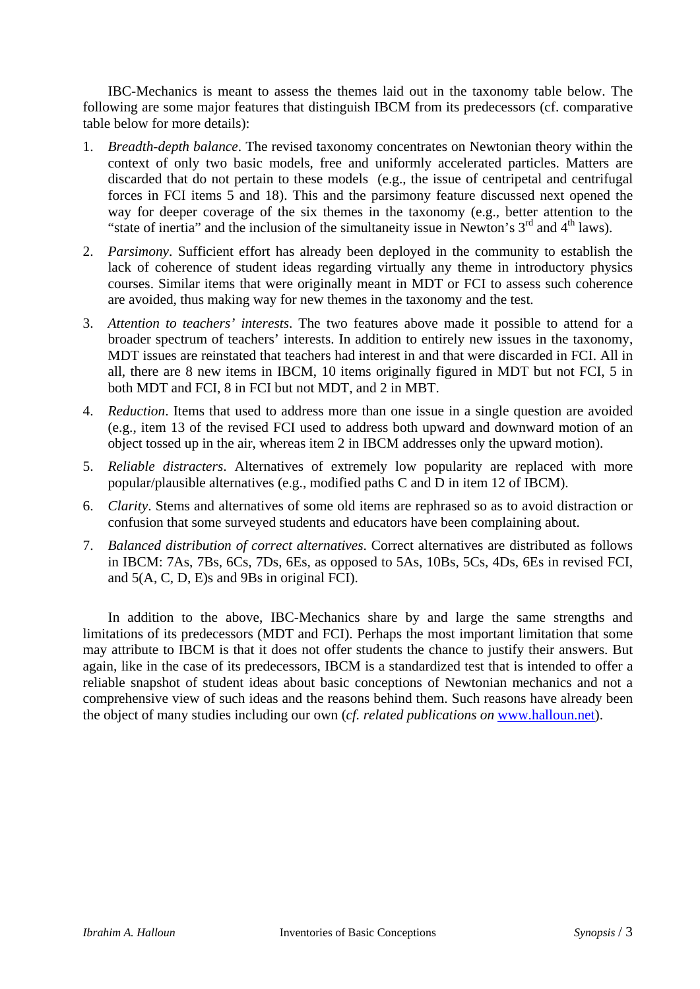IBC-Mechanics is meant to assess the themes laid out in the taxonomy table below. The following are some major features that distinguish IBCM from its predecessors (cf. comparative table below for more details):

- 1. *Breadth-depth balance*. The revised taxonomy concentrates on Newtonian theory within the context of only two basic models, free and uniformly accelerated particles. Matters are discarded that do not pertain to these models (e.g., the issue of centripetal and centrifugal forces in FCI items 5 and 18). This and the parsimony feature discussed next opened the way for deeper coverage of the six themes in the taxonomy (e.g., better attention to the "state of inertia" and the inclusion of the simultaneity issue in Newton's  $3<sup>rd</sup>$  and  $4<sup>th</sup>$  laws).
- 2. *Parsimony*. Sufficient effort has already been deployed in the community to establish the lack of coherence of student ideas regarding virtually any theme in introductory physics courses. Similar items that were originally meant in MDT or FCI to assess such coherence are avoided, thus making way for new themes in the taxonomy and the test.
- 3. *Attention to teachers' interests*. The two features above made it possible to attend for a broader spectrum of teachers' interests. In addition to entirely new issues in the taxonomy, MDT issues are reinstated that teachers had interest in and that were discarded in FCI. All in all, there are 8 new items in IBCM, 10 items originally figured in MDT but not FCI, 5 in both MDT and FCI, 8 in FCI but not MDT, and 2 in MBT.
- 4. *Reduction*. Items that used to address more than one issue in a single question are avoided (e.g., item 13 of the revised FCI used to address both upward and downward motion of an object tossed up in the air, whereas item 2 in IBCM addresses only the upward motion).
- 5. *Reliable distracters*. Alternatives of extremely low popularity are replaced with more popular/plausible alternatives (e.g., modified paths C and D in item 12 of IBCM).
- 6. *Clarity*. Stems and alternatives of some old items are rephrased so as to avoid distraction or confusion that some surveyed students and educators have been complaining about.
- 7. *Balanced distribution of correct alternatives*. Correct alternatives are distributed as follows in IBCM: 7As, 7Bs, 6Cs, 7Ds, 6Es, as opposed to 5As, 10Bs, 5Cs, 4Ds, 6Es in revised FCI, and 5(A, C, D, E)s and 9Bs in original FCI).

 In addition to the above, IBC-Mechanics share by and large the same strengths and limitations of its predecessors (MDT and FCI). Perhaps the most important limitation that some may attribute to IBCM is that it does not offer students the chance to justify their answers. But again, like in the case of its predecessors, IBCM is a standardized test that is intended to offer a reliable snapshot of student ideas about basic conceptions of Newtonian mechanics and not a comprehensive view of such ideas and the reasons behind them. Such reasons have already been the object of many studies including our own (*cf. related publications on* www.halloun.net).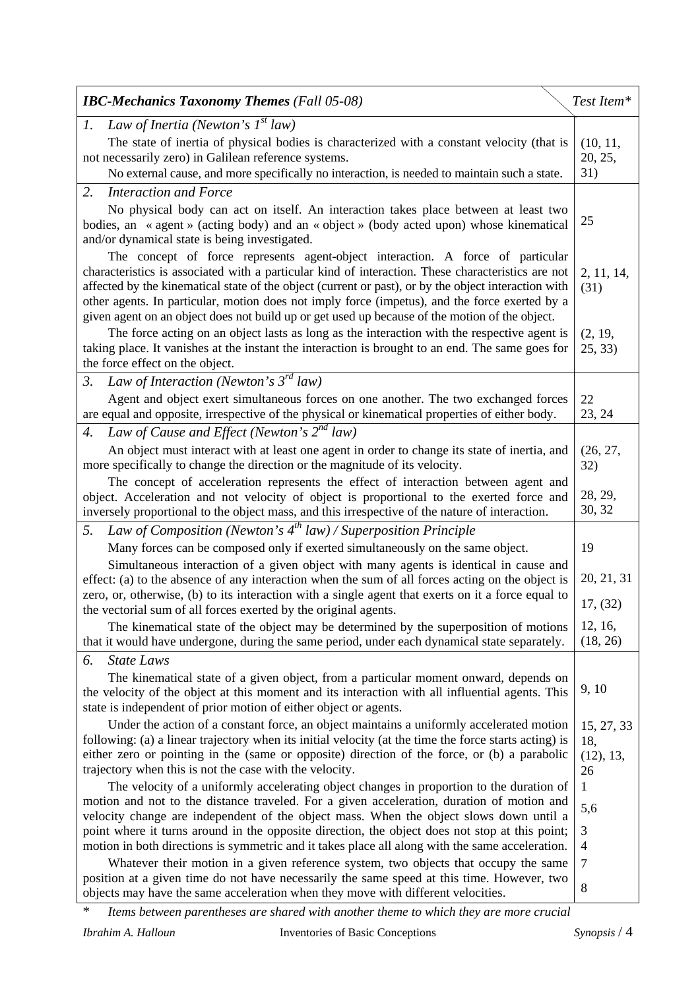| <b>IBC-Mechanics Taxonomy Themes</b> (Fall 05-08)                                                                                                                                                                                                                                                                                                                                                                                                                                                 | Test Item*          |  |
|---------------------------------------------------------------------------------------------------------------------------------------------------------------------------------------------------------------------------------------------------------------------------------------------------------------------------------------------------------------------------------------------------------------------------------------------------------------------------------------------------|---------------------|--|
| Law of Inertia (Newton's $I^{st}$ law)<br>1.                                                                                                                                                                                                                                                                                                                                                                                                                                                      |                     |  |
| The state of inertia of physical bodies is characterized with a constant velocity (that is<br>not necessarily zero) in Galilean reference systems.                                                                                                                                                                                                                                                                                                                                                |                     |  |
| No external cause, and more specifically no interaction, is needed to maintain such a state.                                                                                                                                                                                                                                                                                                                                                                                                      | 31)                 |  |
| 2.<br><b>Interaction and Force</b>                                                                                                                                                                                                                                                                                                                                                                                                                                                                |                     |  |
| No physical body can act on itself. An interaction takes place between at least two<br>bodies, an « agent » (acting body) and an « object » (body acted upon) whose kinematical<br>and/or dynamical state is being investigated.                                                                                                                                                                                                                                                                  |                     |  |
| The concept of force represents agent-object interaction. A force of particular<br>characteristics is associated with a particular kind of interaction. These characteristics are not<br>affected by the kinematical state of the object (current or past), or by the object interaction with<br>other agents. In particular, motion does not imply force (impetus), and the force exerted by a<br>given agent on an object does not build up or get used up because of the motion of the object. |                     |  |
| The force acting on an object lasts as long as the interaction with the respective agent is<br>taking place. It vanishes at the instant the interaction is brought to an end. The same goes for<br>the force effect on the object.                                                                                                                                                                                                                                                                | (2, 19,<br>25, 33)  |  |
| Law of Interaction (Newton's $3^{rd}$ law)<br>$\mathfrak{Z}$ .                                                                                                                                                                                                                                                                                                                                                                                                                                    |                     |  |
| Agent and object exert simultaneous forces on one another. The two exchanged forces<br>are equal and opposite, irrespective of the physical or kinematical properties of either body.                                                                                                                                                                                                                                                                                                             | 22<br>23, 24        |  |
| Law of Cause and Effect (Newton's $2^{nd}$ law)<br>4.                                                                                                                                                                                                                                                                                                                                                                                                                                             |                     |  |
| An object must interact with at least one agent in order to change its state of inertia, and<br>more specifically to change the direction or the magnitude of its velocity.                                                                                                                                                                                                                                                                                                                       |                     |  |
| The concept of acceleration represents the effect of interaction between agent and<br>object. Acceleration and not velocity of object is proportional to the exerted force and<br>inversely proportional to the object mass, and this irrespective of the nature of interaction.                                                                                                                                                                                                                  | 28, 29,<br>30, 32   |  |
| Law of Composition (Newton's $4^{th}$ law) / Superposition Principle<br>5.                                                                                                                                                                                                                                                                                                                                                                                                                        |                     |  |
| Many forces can be composed only if exerted simultaneously on the same object.                                                                                                                                                                                                                                                                                                                                                                                                                    | 19                  |  |
| Simultaneous interaction of a given object with many agents is identical in cause and<br>effect: (a) to the absence of any interaction when the sum of all forces acting on the object is                                                                                                                                                                                                                                                                                                         |                     |  |
| zero, or, otherwise, (b) to its interaction with a single agent that exerts on it a force equal to<br>the vectorial sum of all forces exerted by the original agents.                                                                                                                                                                                                                                                                                                                             |                     |  |
| The kinematical state of the object may be determined by the superposition of motions<br>that it would have undergone, during the same period, under each dynamical state separately.                                                                                                                                                                                                                                                                                                             | 12, 16,<br>(18, 26) |  |
| <b>State Laws</b><br>6.                                                                                                                                                                                                                                                                                                                                                                                                                                                                           |                     |  |
| The kinematical state of a given object, from a particular moment onward, depends on<br>9, 10<br>the velocity of the object at this moment and its interaction with all influential agents. This<br>state is independent of prior motion of either object or agents.                                                                                                                                                                                                                              |                     |  |
| Under the action of a constant force, an object maintains a uniformly accelerated motion<br>following: (a) a linear trajectory when its initial velocity (at the time the force starts acting) is<br>either zero or pointing in the (same or opposite) direction of the force, or (b) a parabolic<br>trajectory when this is not the case with the velocity.                                                                                                                                      |                     |  |
| The velocity of a uniformly accelerating object changes in proportion to the duration of<br>motion and not to the distance traveled. For a given acceleration, duration of motion and<br>velocity change are independent of the object mass. When the object slows down until a                                                                                                                                                                                                                   |                     |  |
| point where it turns around in the opposite direction, the object does not stop at this point;<br>motion in both directions is symmetric and it takes place all along with the same acceleration.                                                                                                                                                                                                                                                                                                 |                     |  |
| Whatever their motion in a given reference system, two objects that occupy the same                                                                                                                                                                                                                                                                                                                                                                                                               |                     |  |
| position at a given time do not have necessarily the same speed at this time. However, two<br>objects may have the same acceleration when they move with different velocities.                                                                                                                                                                                                                                                                                                                    |                     |  |

\* *Items between parentheses are shared with another theme to which they are more crucial*